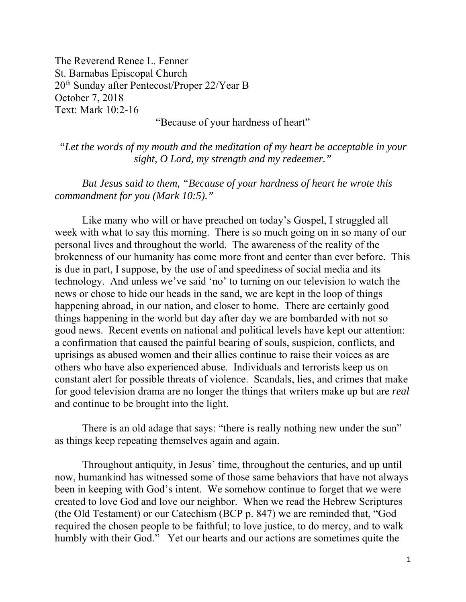The Reverend Renee L. Fenner St. Barnabas Episcopal Church 20th Sunday after Pentecost/Proper 22/Year B October 7, 2018 Text: Mark 10:2-16

## "Because of your hardness of heart"

*"Let the words of my mouth and the meditation of my heart be acceptable in your sight, O Lord, my strength and my redeemer."* 

*But Jesus said to them, "Because of your hardness of heart he wrote this commandment for you (Mark 10:5)."* 

 Like many who will or have preached on today's Gospel, I struggled all week with what to say this morning. There is so much going on in so many of our personal lives and throughout the world. The awareness of the reality of the brokenness of our humanity has come more front and center than ever before. This is due in part, I suppose, by the use of and speediness of social media and its technology. And unless we've said 'no' to turning on our television to watch the news or chose to hide our heads in the sand, we are kept in the loop of things happening abroad, in our nation, and closer to home. There are certainly good things happening in the world but day after day we are bombarded with not so good news. Recent events on national and political levels have kept our attention: a confirmation that caused the painful bearing of souls, suspicion, conflicts, and uprisings as abused women and their allies continue to raise their voices as are others who have also experienced abuse. Individuals and terrorists keep us on constant alert for possible threats of violence. Scandals, lies, and crimes that make for good television drama are no longer the things that writers make up but are *real* and continue to be brought into the light.

There is an old adage that says: "there is really nothing new under the sun" as things keep repeating themselves again and again.

Throughout antiquity, in Jesus' time, throughout the centuries, and up until now, humankind has witnessed some of those same behaviors that have not always been in keeping with God's intent. We somehow continue to forget that we were created to love God and love our neighbor. When we read the Hebrew Scriptures (the Old Testament) or our Catechism (BCP p. 847) we are reminded that, "God required the chosen people to be faithful; to love justice, to do mercy, and to walk humbly with their God." Yet our hearts and our actions are sometimes quite the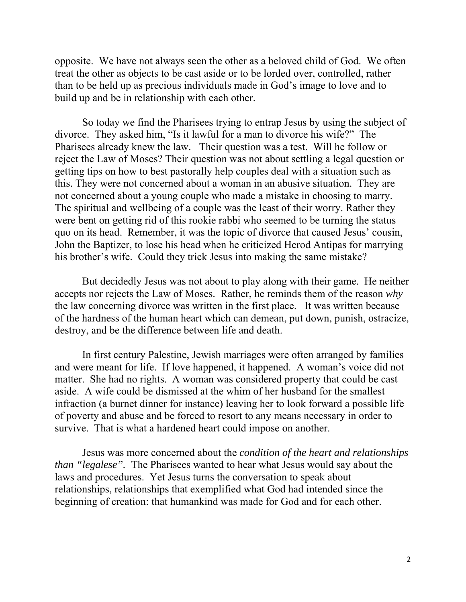opposite. We have not always seen the other as a beloved child of God. We often treat the other as objects to be cast aside or to be lorded over, controlled, rather than to be held up as precious individuals made in God's image to love and to build up and be in relationship with each other.

So today we find the Pharisees trying to entrap Jesus by using the subject of divorce. They asked him, "Is it lawful for a man to divorce his wife?" The Pharisees already knew the law. Their question was a test. Will he follow or reject the Law of Moses? Their question was not about settling a legal question or getting tips on how to best pastorally help couples deal with a situation such as this. They were not concerned about a woman in an abusive situation. They are not concerned about a young couple who made a mistake in choosing to marry. The spiritual and wellbeing of a couple was the least of their worry. Rather they were bent on getting rid of this rookie rabbi who seemed to be turning the status quo on its head. Remember, it was the topic of divorce that caused Jesus' cousin, John the Baptizer, to lose his head when he criticized Herod Antipas for marrying his brother's wife. Could they trick Jesus into making the same mistake?

But decidedly Jesus was not about to play along with their game. He neither accepts nor rejects the Law of Moses. Rather, he reminds them of the reason *why*  the law concerning divorce was written in the first place. It was written because of the hardness of the human heart which can demean, put down, punish, ostracize, destroy, and be the difference between life and death.

In first century Palestine, Jewish marriages were often arranged by families and were meant for life. If love happened, it happened. A woman's voice did not matter. She had no rights. A woman was considered property that could be cast aside. A wife could be dismissed at the whim of her husband for the smallest infraction (a burnet dinner for instance) leaving her to look forward a possible life of poverty and abuse and be forced to resort to any means necessary in order to survive. That is what a hardened heart could impose on another.

Jesus was more concerned about the *condition of the heart and relationships than "legalese".* The Pharisees wanted to hear what Jesus would say about the laws and procedures. Yet Jesus turns the conversation to speak about relationships, relationships that exemplified what God had intended since the beginning of creation: that humankind was made for God and for each other.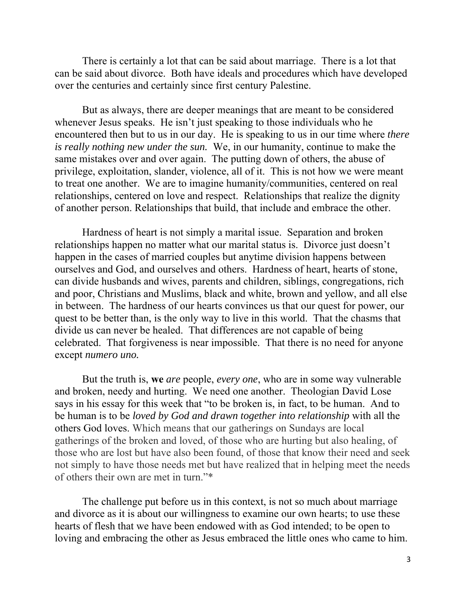There is certainly a lot that can be said about marriage. There is a lot that can be said about divorce. Both have ideals and procedures which have developed over the centuries and certainly since first century Palestine.

But as always, there are deeper meanings that are meant to be considered whenever Jesus speaks. He isn't just speaking to those individuals who he encountered then but to us in our day. He is speaking to us in our time where *there is really nothing new under the sun.* We, in our humanity, continue to make the same mistakes over and over again. The putting down of others, the abuse of privilege, exploitation, slander, violence, all of it. This is not how we were meant to treat one another. We are to imagine humanity/communities, centered on real relationships, centered on love and respect. Relationships that realize the dignity of another person. Relationships that build, that include and embrace the other.

Hardness of heart is not simply a marital issue. Separation and broken relationships happen no matter what our marital status is. Divorce just doesn't happen in the cases of married couples but anytime division happens between ourselves and God, and ourselves and others. Hardness of heart, hearts of stone, can divide husbands and wives, parents and children, siblings, congregations, rich and poor, Christians and Muslims, black and white, brown and yellow, and all else in between. The hardness of our hearts convinces us that our quest for power, our quest to be better than, is the only way to live in this world. That the chasms that divide us can never be healed. That differences are not capable of being celebrated. That forgiveness is near impossible. That there is no need for anyone except *numero uno.*

But the truth is, **we** *are* people, *every one*, who are in some way vulnerable and broken, needy and hurting. We need one another. Theologian David Lose says in his essay for this week that "to be broken is, in fact, to be human. And to be human is to be *loved by God and drawn together into relationship* with all the others God loves. Which means that our gatherings on Sundays are local gatherings of the broken and loved, of those who are hurting but also healing, of those who are lost but have also been found, of those that know their need and seek not simply to have those needs met but have realized that in helping meet the needs of others their own are met in turn."\*

The challenge put before us in this context, is not so much about marriage and divorce as it is about our willingness to examine our own hearts; to use these hearts of flesh that we have been endowed with as God intended; to be open to loving and embracing the other as Jesus embraced the little ones who came to him.